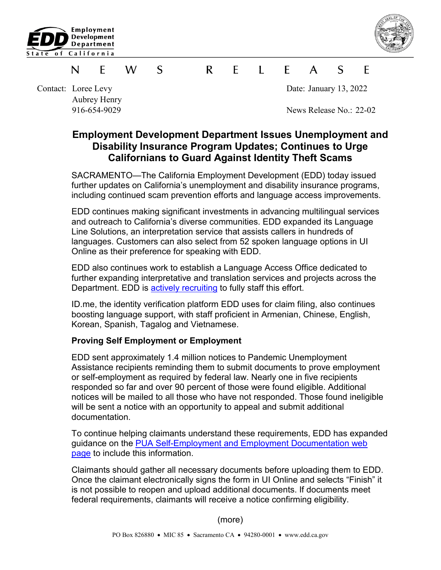



## $L$   $E$ W. S  $\mathsf{R}$  $\mathsf{F}$  $\mathsf{A}$  $\mathcal{S}$ F. F N

Contact: Loree Levy Date: January 13, 2022 Aubrey Henry

916-654-9029 News Release No.: 22-02

## **Employment Development Department Issues Unemployment and Disability Insurance Program Updates; Continues to Urge Californians to Guard Against Identity Theft Scams**

SACRAMENTO—The California Employment Development (EDD) today issued further updates on California's unemployment and disability insurance programs, including continued scam prevention efforts and language access improvements.

EDD continues making significant investments in advancing multilingual services and outreach to California's diverse communities. EDD expanded its Language Line Solutions, an interpretation service that assists callers in hundreds of languages. Customers can also select from 52 spoken language options in UI Online as their preference for speaking with EDD.

EDD also continues work to establish a Language Access Office dedicated to further expanding interpretative and translation services and projects across the Department. EDD is [actively recruiting](https://www.calcareers.ca.gov/CalHrPublic/Jobs/JobPosting.aspx?JobControlId=283084) to fully staff this effort.

ID.me, the identity verification platform EDD uses for claim filing, also continues boosting language support, with staff proficient in Armenian, Chinese, English, Korean, Spanish, Tagalog and Vietnamese.

## **Proving Self Employment or Employment**

EDD sent approximately 1.4 million notices to Pandemic Unemployment Assistance recipients reminding them to submit documents to prove employment or self-employment as required by federal law. Nearly one in five recipients responded so far and over 90 percent of those were found eligible. Additional notices will be mailed to all those who have not responded. Those found ineligible will be sent a notice with an opportunity to appeal and submit additional documentation.

To continue helping claimants understand these requirements, EDD has expanded guidance on the [PUA Self-Employment and Employment Documentation web](https://www.edd.ca.gov/about_edd/coronavirus-2019/pandemic-unemployment-assistance.htm#SelfEmployment)  [page](https://www.edd.ca.gov/about_edd/coronavirus-2019/pandemic-unemployment-assistance.htm#SelfEmployment) to include this information.

Claimants should gather all necessary documents before uploading them to EDD. Once the claimant electronically signs the form in UI Online and selects "Finish" it is not possible to reopen and upload additional documents. If documents meet federal requirements, claimants will receive a notice confirming eligibility.

(more)